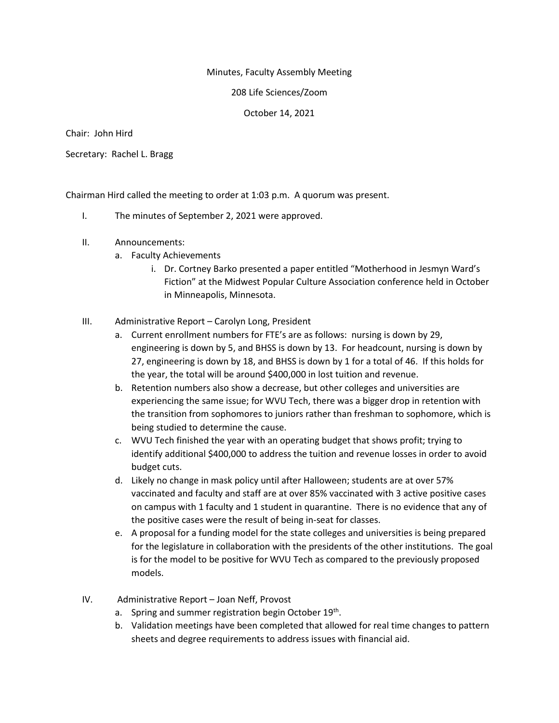## Minutes, Faculty Assembly Meeting

### 208 Life Sciences/Zoom

## October 14, 2021

Chair: John Hird

Secretary: Rachel L. Bragg

Chairman Hird called the meeting to order at 1:03 p.m. A quorum was present.

- I. The minutes of September 2, 2021 were approved.
- II. Announcements:
	- a. Faculty Achievements
		- i. Dr. Cortney Barko presented a paper entitled "Motherhood in Jesmyn Ward's Fiction" at the Midwest Popular Culture Association conference held in October in Minneapolis, Minnesota.

## III. Administrative Report – Carolyn Long, President

- a. Current enrollment numbers for FTE's are as follows: nursing is down by 29, engineering is down by 5, and BHSS is down by 13. For headcount, nursing is down by 27, engineering is down by 18, and BHSS is down by 1 for a total of 46. If this holds for the year, the total will be around \$400,000 in lost tuition and revenue.
- b. Retention numbers also show a decrease, but other colleges and universities are experiencing the same issue; for WVU Tech, there was a bigger drop in retention with the transition from sophomores to juniors rather than freshman to sophomore, which is being studied to determine the cause.
- c. WVU Tech finished the year with an operating budget that shows profit; trying to identify additional \$400,000 to address the tuition and revenue losses in order to avoid budget cuts.
- d. Likely no change in mask policy until after Halloween; students are at over 57% vaccinated and faculty and staff are at over 85% vaccinated with 3 active positive cases on campus with 1 faculty and 1 student in quarantine. There is no evidence that any of the positive cases were the result of being in-seat for classes.
- e. A proposal for a funding model for the state colleges and universities is being prepared for the legislature in collaboration with the presidents of the other institutions. The goal is for the model to be positive for WVU Tech as compared to the previously proposed models.
- IV. Administrative Report Joan Neff, Provost
	- a. Spring and summer registration begin October 19<sup>th</sup>.
	- b. Validation meetings have been completed that allowed for real time changes to pattern sheets and degree requirements to address issues with financial aid.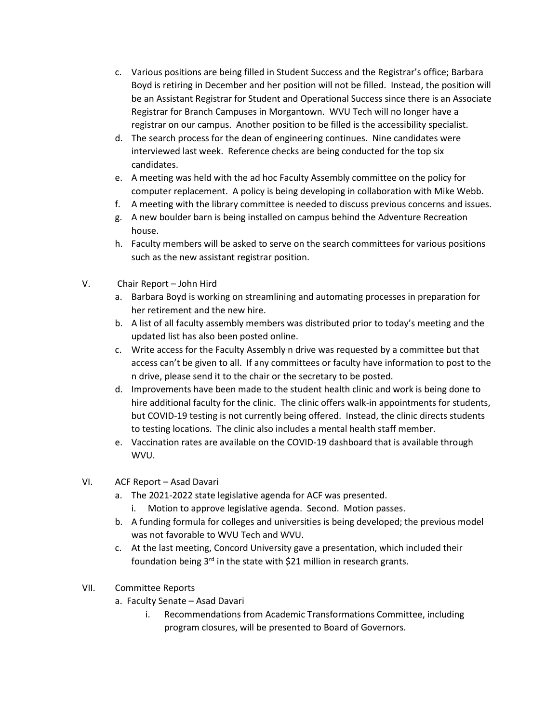- c. Various positions are being filled in Student Success and the Registrar's office; Barbara Boyd is retiring in December and her position will not be filled. Instead, the position will be an Assistant Registrar for Student and Operational Success since there is an Associate Registrar for Branch Campuses in Morgantown. WVU Tech will no longer have a registrar on our campus. Another position to be filled is the accessibility specialist.
- d. The search process for the dean of engineering continues. Nine candidates were interviewed last week. Reference checks are being conducted for the top six candidates.
- e. A meeting was held with the ad hoc Faculty Assembly committee on the policy for computer replacement. A policy is being developing in collaboration with Mike Webb.
- f. A meeting with the library committee is needed to discuss previous concerns and issues.
- g. A new boulder barn is being installed on campus behind the Adventure Recreation house.
- h. Faculty members will be asked to serve on the search committees for various positions such as the new assistant registrar position.
- V. Chair Report John Hird
	- a. Barbara Boyd is working on streamlining and automating processes in preparation for her retirement and the new hire.
	- b. A list of all faculty assembly members was distributed prior to today's meeting and the updated list has also been posted online.
	- c. Write access for the Faculty Assembly n drive was requested by a committee but that access can't be given to all. If any committees or faculty have information to post to the n drive, please send it to the chair or the secretary to be posted.
	- d. Improvements have been made to the student health clinic and work is being done to hire additional faculty for the clinic. The clinic offers walk-in appointments for students, but COVID-19 testing is not currently being offered. Instead, the clinic directs students to testing locations. The clinic also includes a mental health staff member.
	- e. Vaccination rates are available on the COVID-19 dashboard that is available through WVU.

# VI. ACF Report – Asad Davari

- a. The 2021-2022 state legislative agenda for ACF was presented.
	- i. Motion to approve legislative agenda. Second. Motion passes.
- b. A funding formula for colleges and universities is being developed; the previous model was not favorable to WVU Tech and WVU.
- c. At the last meeting, Concord University gave a presentation, which included their foundation being  $3^{rd}$  in the state with \$21 million in research grants.
- VII. Committee Reports
	- a. Faculty Senate Asad Davari
		- i. Recommendations from Academic Transformations Committee, including program closures, will be presented to Board of Governors.